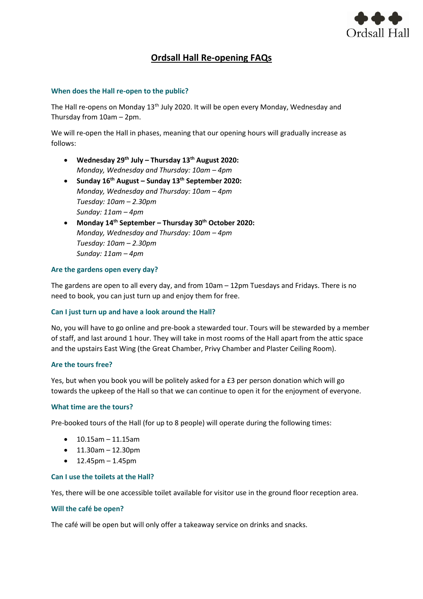

# **Ordsall Hall Re-opening FAQs**

## **When does the Hall re-open to the public?**

The Hall re-opens on Monday 13<sup>th</sup> July 2020. It will be open every Monday, Wednesday and Thursday from 10am – 2pm.

We will re-open the Hall in phases, meaning that our opening hours will gradually increase as follows:

- **Wednesday 29th July – Thursday 13th August 2020:** *Monday, Wednesday and Thursday: 10am - 4pm*
- **Sunday 16th August – Sunday 13th September 2020:** *Monday, Wednesday and Thursday: 10am – 4pm Tuesday: 10am – 2.30pm Sunday: 11am – 4pm*
- **Monday 14th September – Thursday 30th October 2020:** *Monday, Wednesday and Thursday: 10am – 4pm Tuesday: 10am – 2.30pm Sunday: 11am – 4pm*

# **Are the gardens open every day?**

The gardens are open to all every day, and from 10am – 12pm Tuesdays and Fridays. There is no need to book, you can just turn up and enjoy them for free.

## **Can I just turn up and have a look around the Hall?**

No, you will have to go online and pre-book a stewarded tour. Tours will be stewarded by a member of staff, and last around 1 hour. They will take in most rooms of the Hall apart from the attic space and the upstairs East Wing (the Great Chamber, Privy Chamber and Plaster Ceiling Room).

## **Are the tours free?**

Yes, but when you book you will be politely asked for a £3 per person donation which will go towards the upkeep of the Hall so that we can continue to open it for the enjoyment of everyone.

## **What time are the tours?**

Pre-booked tours of the Hall (for up to 8 people) will operate during the following times:

- 10.15am 11.15am
- $11.30$ am  $12.30$ pm
- $12.45<sub>pm</sub> 1.45<sub>pm</sub>$

## **Can I use the toilets at the Hall?**

Yes, there will be one accessible toilet available for visitor use in the ground floor reception area.

## **Will the café be open?**

The café will be open but will only offer a takeaway service on drinks and snacks.